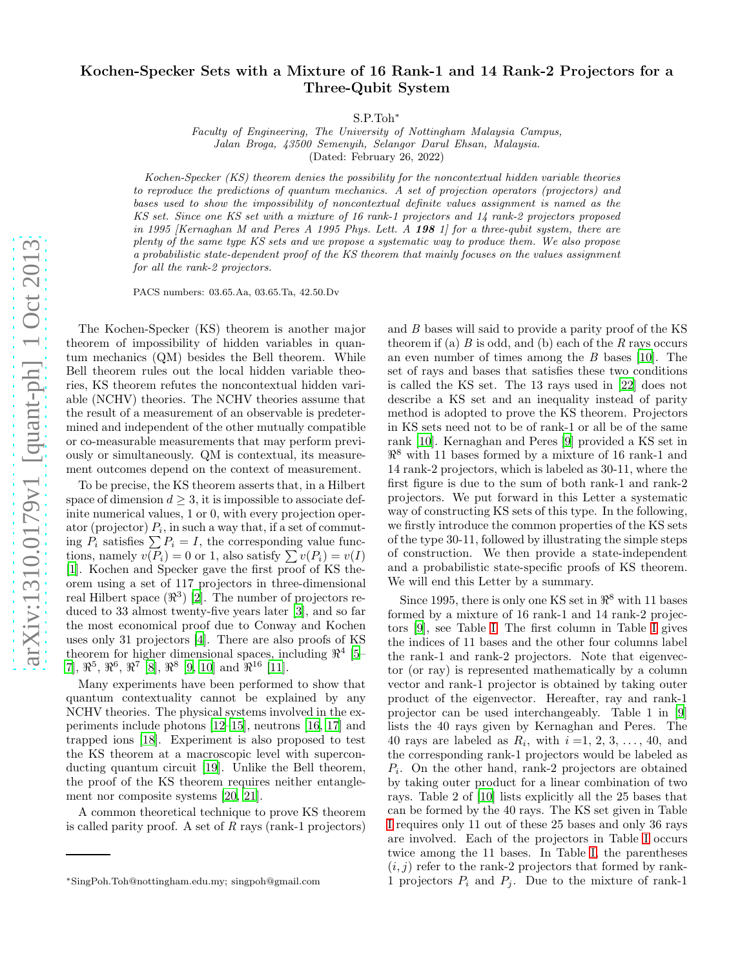## Kochen-Specker Sets with a Mixture of 16 Rank-1 and 14 Rank-2 Projectors for a Three-Qubit System

S.P.Toh<sup>∗</sup>

Faculty of Engineering, The University of Nottingham Malaysia Campus, Jalan Broga, 43500 Semenyih, Selangor Darul Ehsan, Malaysia. (Dated: February 26, 2022)

Kochen-Specker (KS) theorem denies the possibility for the noncontextual hidden variable theories to reproduce the predictions of quantum mechanics. A set of projection operators (projectors) and bases used to show the impossibility of noncontextual definite values assignment is named as the KS set. Since one KS set with a mixture of 16 rank-1 projectors and 14 rank-2 projectors proposed in 1995 [Kernaghan M and Peres A 1995 Phys. Lett. A 198 1] for a three-qubit system, there are plenty of the same type KS sets and we propose a systematic way to produce them. We also propose a probabilistic state-dependent proof of the KS theorem that mainly focuses on the values assignment for all the rank-2 projectors.

PACS numbers: 03.65.Aa, 03.65.Ta, 42.50.Dv

The Kochen-Specker (KS) theorem is another major theorem of impossibility of hidden variables in quantum mechanics (QM) besides the Bell theorem. While Bell theorem rules out the local hidden variable theories, KS theorem refutes the noncontextual hidden variable (NCHV) theories. The NCHV theories assume that the result of a measurement of an observable is predetermined and independent of the other mutually compatible or co-measurable measurements that may perform previously or simultaneously. QM is contextual, its measurement outcomes depend on the context of measurement.

To be precise, the KS theorem asserts that, in a Hilbert space of dimension  $d \geq 3$ , it is impossible to associate definite numerical values, 1 or 0, with every projection operator (projector)  $P_i$ , in such a way that, if a set of commuting  $P_i$  satisfies  $\sum P_i = I$ , the corresponding value functions, namely  $v(\overline{P_i}) = 0$  or 1, also satisfy  $\sum v(P_i) = v(I)$ [\[1\]](#page-3-0). Kochen and Specker gave the first proof of KS theorem using a set of 117 projectors in three-dimensional real Hilbert space  $(\Re^3)$  [\[2\]](#page-3-1). The number of projectors reduced to 33 almost twenty-five years later [\[3\]](#page-3-2), and so far the most economical proof due to Conway and Kochen uses only 31 projectors [\[4](#page-3-3)]. There are also proofs of KS theorem for higher dimensional spaces, including  $\mathbb{R}^4$  [\[5](#page-3-4)–  $[7], \, \mathfrak{R}^5, \, \mathfrak{R}^6, \, \mathfrak{R}^7 \, \, \rbox{[8]}, \, \mathfrak{R}^8 \, \, [9, \, 10] \, \, \text{and} \, \, \mathfrak{R}^{16} \, \, \rbox{[11]}.$  $[7], \, \mathfrak{R}^5, \, \mathfrak{R}^6, \, \mathfrak{R}^7 \, \, \rbox{[8]}, \, \mathfrak{R}^8 \, \, [9, \, 10] \, \, \text{and} \, \, \mathfrak{R}^{16} \, \, \rbox{[11]}.$  $[7], \, \mathfrak{R}^5, \, \mathfrak{R}^6, \, \mathfrak{R}^7 \, \, \rbox{[8]}, \, \mathfrak{R}^8 \, \, [9, \, 10] \, \, \text{and} \, \, \mathfrak{R}^{16} \, \, \rbox{[11]}.$  $[7], \, \mathfrak{R}^5, \, \mathfrak{R}^6, \, \mathfrak{R}^7 \, \, \rbox{[8]}, \, \mathfrak{R}^8 \, \, [9, \, 10] \, \, \text{and} \, \, \mathfrak{R}^{16} \, \, \rbox{[11]}.$  $[7], \, \mathfrak{R}^5, \, \mathfrak{R}^6, \, \mathfrak{R}^7 \, \, \rbox{[8]}, \, \mathfrak{R}^8 \, \, [9, \, 10] \, \, \text{and} \, \, \mathfrak{R}^{16} \, \, \rbox{[11]}.$  $[7], \, \mathfrak{R}^5, \, \mathfrak{R}^6, \, \mathfrak{R}^7 \, \, \rbox{[8]}, \, \mathfrak{R}^8 \, \, [9, \, 10] \, \, \text{and} \, \, \mathfrak{R}^{16} \, \, \rbox{[11]}.$  $[7], \, \mathfrak{R}^5, \, \mathfrak{R}^6, \, \mathfrak{R}^7 \, \, \rbox{[8]}, \, \mathfrak{R}^8 \, \, [9, \, 10] \, \, \text{and} \, \, \mathfrak{R}^{16} \, \, \rbox{[11]}.$  $[7], \, \mathfrak{R}^5, \, \mathfrak{R}^6, \, \mathfrak{R}^7 \, \, \rbox{[8]}, \, \mathfrak{R}^8 \, \, [9, \, 10] \, \, \text{and} \, \, \mathfrak{R}^{16} \, \, \rbox{[11]}.$  $[7], \, \mathfrak{R}^5, \, \mathfrak{R}^6, \, \mathfrak{R}^7 \, \, \rbox{[8]}, \, \mathfrak{R}^8 \, \, [9, \, 10] \, \, \text{and} \, \, \mathfrak{R}^{16} \, \, \rbox{[11]}.$  $[7], \, \mathfrak{R}^5, \, \mathfrak{R}^6, \, \mathfrak{R}^7 \, \, \rbox{[8]}, \, \mathfrak{R}^8 \, \, [9, \, 10] \, \, \text{and} \, \, \mathfrak{R}^{16} \, \, \rbox{[11]}.$  $[7], \, \mathfrak{R}^5, \, \mathfrak{R}^6, \, \mathfrak{R}^7 \, \, \rbox{[8]}, \, \mathfrak{R}^8 \, \, [9, \, 10] \, \, \text{and} \, \, \mathfrak{R}^{16} \, \, \rbox{[11]}.$ 

Many experiments have been performed to show that quantum contextuality cannot be explained by any NCHV theories. The physical systems involved in the experiments include photons [\[12](#page-3-10)[–15](#page-3-11)], neutrons [\[16](#page-3-12), [17](#page-3-13)] and trapped ions [\[18\]](#page-3-14). Experiment is also proposed to test the KS theorem at a macroscopic level with superconducting quantum circuit [\[19\]](#page-3-15). Unlike the Bell theorem, the proof of the KS theorem requires neither entanglement nor composite systems [\[20,](#page-3-16) [21\]](#page-3-17).

A common theoretical technique to prove KS theorem is called parity proof. A set of  $R$  rays (rank-1 projectors)

and B bases will said to provide a parity proof of the KS theorem if (a)  $B$  is odd, and (b) each of the  $R$  rays occurs an even number of times among the  $B$  bases [\[10](#page-3-8)]. The set of rays and bases that satisfies these two conditions is called the KS set. The 13 rays used in [\[22\]](#page-3-18) does not describe a KS set and an inequality instead of parity method is adopted to prove the KS theorem. Projectors in KS sets need not to be of rank-1 or all be of the same rank [\[10\]](#page-3-8). Kernaghan and Peres [\[9\]](#page-3-7) provided a KS set in  $\mathbb{R}^8$  with 11 bases formed by a mixture of 16 rank-1 and 14 rank-2 projectors, which is labeled as 30-11, where the first figure is due to the sum of both rank-1 and rank-2 projectors. We put forward in this Letter a systematic way of constructing KS sets of this type. In the following, we firstly introduce the common properties of the KS sets of the type 30-11, followed by illustrating the simple steps of construction. We then provide a state-independent and a probabilistic state-specific proofs of KS theorem. We will end this Letter by a summary.

Since 1995, there is only one KS set in  $\mathbb{R}^8$  with 11 bases formed by a mixture of 16 rank-1 and 14 rank-2 projectors [\[9\]](#page-3-7), see Table [I.](#page-1-0) The first column in Table [I](#page-1-0) gives the indices of 11 bases and the other four columns label the rank-1 and rank-2 projectors. Note that eigenvector (or ray) is represented mathematically by a column vector and rank-1 projector is obtained by taking outer product of the eigenvector. Hereafter, ray and rank-1 projector can be used interchangeably. Table 1 in [\[9](#page-3-7)] lists the 40 rays given by Kernaghan and Peres. The 40 rays are labeled as  $R_i$ , with  $i = 1, 2, 3, \ldots, 40$ , and the corresponding rank-1 projectors would be labeled as Pi . On the other hand, rank-2 projectors are obtained by taking outer product for a linear combination of two rays. Table 2 of [\[10\]](#page-3-8) lists explicitly all the 25 bases that can be formed by the 40 rays. The KS set given in Table [I](#page-1-0) requires only 11 out of these 25 bases and only 36 rays are involved. Each of the projectors in Table [I](#page-1-0) occurs twice among the 11 bases. In Table [I,](#page-1-0) the parentheses  $(i, j)$  refer to the rank-2 projectors that formed by rank-1 projectors  $P_i$  and  $P_j$ . Due to the mixture of rank-1

<sup>∗</sup>SingPoh.Toh@nottingham.edu.my; singpoh@gmail.com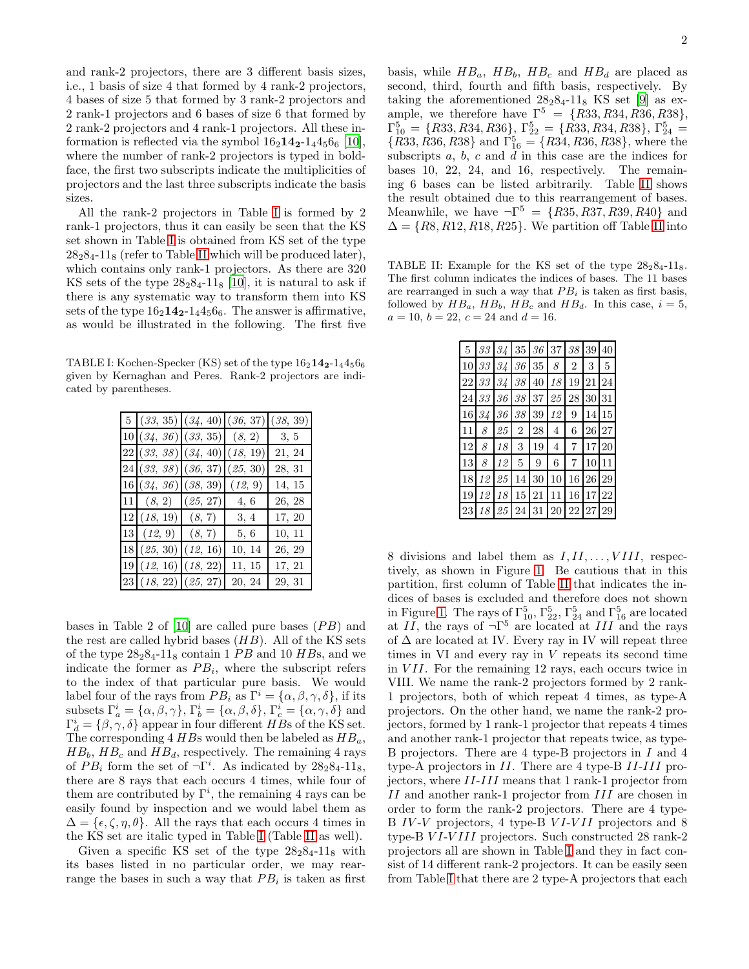and rank-2 projectors, there are 3 different basis sizes, i.e., 1 basis of size 4 that formed by 4 rank-2 projectors, 4 bases of size 5 that formed by 3 rank-2 projectors and 2 rank-1 projectors and 6 bases of size 6 that formed by 2 rank-2 projectors and 4 rank-1 projectors. All these information is reflected via the symbol  $16<sub>2</sub>14<sub>2</sub>-1<sub>4</sub>4<sub>5</sub>6<sub>6</sub>$  [\[10\]](#page-3-8), where the number of rank-2 projectors is typed in boldface, the first two subscripts indicate the multiplicities of projectors and the last three subscripts indicate the basis sizes.

All the rank-2 projectors in Table [I](#page-1-0) is formed by 2 rank-1 projectors, thus it can easily be seen that the KS set shown in Table [I](#page-1-0) is obtained from KS set of the type  $28<sub>2</sub>8<sub>4</sub>$ -11<sub>8</sub> (refer to Table [II](#page-1-1) which will be produced later), which contains only rank-1 projectors. As there are 320 KS sets of the type  $28<sub>2</sub>8<sub>4</sub>$ -11<sub>8</sub> [\[10](#page-3-8)], it is natural to ask if there is any systematic way to transform them into KS sets of the type  $16<sub>2</sub>14<sub>2</sub>-1<sub>4</sub>4<sub>5</sub>6<sub>6</sub>$ . The answer is affirmative, as would be illustrated in the following. The first five

TABLE I: Kochen-Specker (KS) set of the type 162142-14456<sup>6</sup> given by Kernaghan and Peres. Rank-2 projectors are indicated by parentheses.

<span id="page-1-0"></span>

| 5 (33, 35) (34, 40) (36, 37)    |         | (38, 39) |
|---------------------------------|---------|----------|
| 10 (34, 36)(33, 35)(8, 2)       |         | 3, 5     |
| 22 (33, 38) (34, 40) (18, 19)   |         | 21, 24   |
| 24 (33, 38) (36, 37) (25, 30)   |         | 28, 31   |
| 16(34, 36)(38, 39)              | (12, 9) | 14, 15   |
| 11   (8, 2)   (25, 27)          | 4, 6    | 26, 28   |
| 12 (18, 19) (8, 7)              | 3, 4    | 17, 20   |
| $13 \quad (12, 9) \quad (8, 7)$ | 5, 6    | 10, 11   |
| 18(25, 30)(12, 16)              | 10, 14  | 26, 29   |
| 19(12, 16)(18, 22)              | 11, 15  | 17, 21   |
| 23 (18, 22) (25, 27)            | 20, 24  | 29, 31   |

bases in Table 2 of  $[10]$  are called pure bases  $(PB)$  and the rest are called hybrid bases  $(HB)$ . All of the KS sets of the type  $28<sub>2</sub>8<sub>4</sub>$ -11<sub>8</sub> contain 1 *PB* and 10 *HB*s, and we indicate the former as  $PB_i$ , where the subscript refers to the index of that particular pure basis. We would label four of the rays from  $PB_i$  as  $\Gamma^i = {\alpha, \beta, \gamma, \delta}$ , if its subsets  $\Gamma_a^i = {\alpha, \beta, \gamma}, \Gamma_b^i = {\alpha, \beta, \delta}, \Gamma_c^i = {\alpha, \gamma, \delta}$  and  $\Gamma_d^i = \{\beta, \gamma, \delta\}$  appear in four different HBs of the KS set. The corresponding  $4$  HBs would then be labeled as  $HB_a$ ,  $HB_b$ ,  $HB_c$  and  $HB_d$ , respectively. The remaining 4 rays of  $PB_i$  form the set of  $\neg \Gamma^i$ . As indicated by  $28_28_4$ -11<sub>8</sub>, there are 8 rays that each occurs 4 times, while four of them are contributed by  $\Gamma^i$ , the remaining 4 rays can be easily found by inspection and we would label them as  $\Delta = {\epsilon, \zeta, \eta, \theta}.$  All the rays that each occurs 4 times in the KS set are italic typed in Table [I](#page-1-0) (Table [II](#page-1-1) as well).

Given a specific KS set of the type  $28_28_4$ -11<sub>8</sub> with its bases listed in no particular order, we may rearrange the bases in such a way that  $PB_i$  is taken as first

basis, while  $HB_a$ ,  $HB_b$ ,  $HB_c$  and  $HB_d$  are placed as second, third, fourth and fifth basis, respectively. By taking the aforementioned  $28<sub>2</sub>8<sub>4</sub>$ -11<sub>8</sub> KS set [\[9\]](#page-3-7) as example, we therefore have  $\Gamma^5 = \{R33, R34, R36, R38\},\$  $\Gamma_{10}^{5} = \{R33, R34, R36\}, \Gamma_{22}^{5} = \{R33, R34, R38\}, \Gamma_{24}^{5} =$  $\{R33, R36, R38\}$  and  $\Gamma_{16}^5 = \{R34, R36, R38\}$ , where the subscripts  $a, b, c$  and  $d$  in this case are the indices for bases 10, 22, 24, and 16, respectively. The remaining 6 bases can be listed arbitrarily. Table [II](#page-1-1) shows the result obtained due to this rearrangement of bases. Meanwhile, we have  $\neg \Gamma^5 = \{R35, R37, R39, R40\}$  and  $\Delta = \{R8, R12, R18, R25\}$ . We partition off Table [II](#page-1-1) into

<span id="page-1-1"></span>TABLE II: Example for the KS set of the type  $28.284-118$ . The first column indicates the indices of bases. The 11 bases are rearranged in such a way that  $PB_i$  is taken as first basis, followed by  $HB_a$ ,  $HB_b$ ,  $HB_c$  and  $HB_d$ . In this case,  $i = 5$ ,  $a = 10, b = 22, c = 24 \text{ and } d = 16.$ 

| $\bf 5$ | $\mathcal{3}\mathcal{3}$ | $34$ 35 36 37 38                     |                |             |                |                | 39    | 40            |
|---------|--------------------------|--------------------------------------|----------------|-------------|----------------|----------------|-------|---------------|
| 10      | 33                       | $34 \,   \, 36 \,   \, 35 \,   \, 8$ |                |             |                | $\overline{2}$ | 3     | 5             |
|         | 22 33                    | 34 38 40 18                          |                |             |                | 19             | 21    | 24            |
| 24      | $\mathcal{3}\mathcal{3}$ |                                      |                | 36 38 37 25 |                | $\,28$         | 30 31 |               |
| 16      | 34                       | 36                                   | 38             | 39 12       |                | 9              | 14    | 15            |
| 11      | 8                        | 25                                   | $\overline{2}$ | 28          | $\overline{4}$ | 6              | 26    | 27            |
| 12      | 8                        | 18                                   | 3              | 19          | $\overline{4}$ | $\overline{7}$ |       | 17 20         |
| 13      | 8                        | 12                                   | 5              | 9           | 6              | 7              | 10    | 11            |
| 18      | 12                       | 25                                   | 14             | 30          | 10             | 16             | 26    | 29            |
| 19      | 12                       | 18                                   | 15             | 21          | 11             | 16             | 17    | <sup>22</sup> |
| 23      | 18                       | 25 24 31 20                          |                |             |                | 22             | 27    | 29            |

8 divisions and label them as  $I, II, \ldots, VIII$ , respectively, as shown in Figure [1.](#page-2-0) Be cautious that in this partition, first column of Table [II](#page-1-1) that indicates the indices of bases is excluded and therefore does not shown in Figure [1.](#page-2-0) The rays of  $\Gamma_{10}^5$ ,  $\Gamma_{22}^5$ ,  $\Gamma_{24}^5$  and  $\Gamma_{16}^5$  are located at  $II$ , the rays of  $\neg \Gamma^5$  are located at  $III$  and the rays of  $\Delta$  are located at IV. Every ray in IV will repeat three times in VI and every ray in V repeats its second time in VII. For the remaining 12 rays, each occurs twice in VIII. We name the rank-2 projectors formed by 2 rank-1 projectors, both of which repeat 4 times, as type-A projectors. On the other hand, we name the rank-2 projectors, formed by 1 rank-1 projector that repeats 4 times and another rank-1 projector that repeats twice, as type-B projectors. There are 4 type-B projectors in I and 4 type-A projectors in II. There are 4 type-B II-III projectors, where II-III means that 1 rank-1 projector from II and another rank-1 projector from III are chosen in order to form the rank-2 projectors. There are 4 type-B IV-V projectors, 4 type-B VI-VII projectors and 8 type-B VI-VIII projectors. Such constructed 28 rank-2 projectors all are shown in Table [I](#page-1-0) and they in fact consist of 14 different rank-2 projectors. It can be easily seen from Table [I](#page-1-0) that there are 2 type-A projectors that each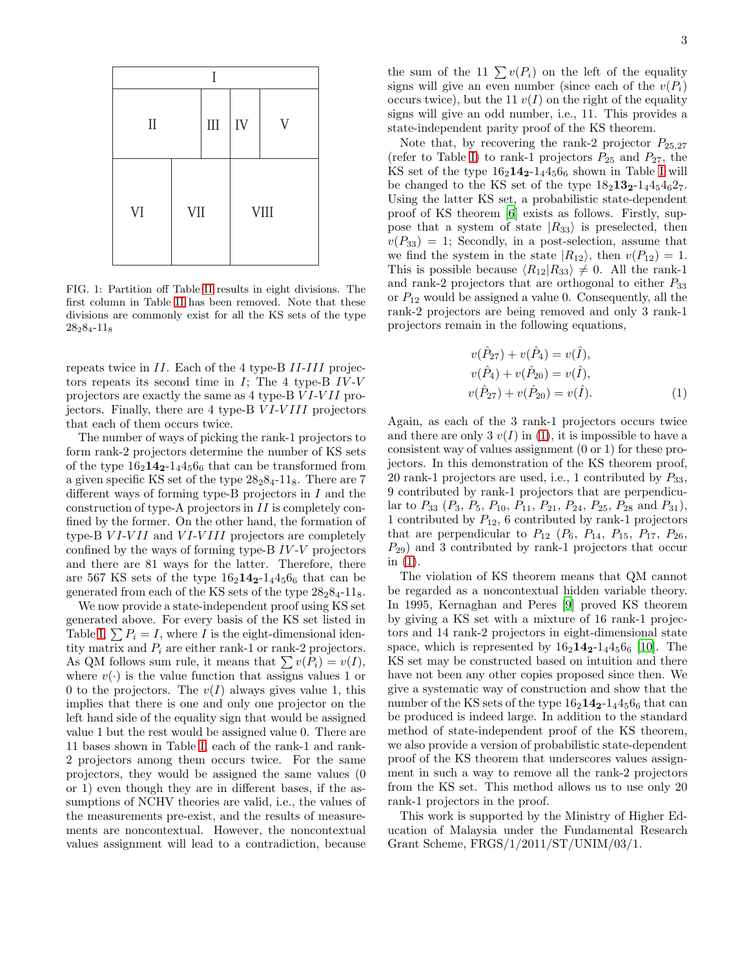| Ī        |           |    |                |             |  |
|----------|-----------|----|----------------|-------------|--|
| $\rm II$ | $\rm III$ | IV | $\overline{V}$ |             |  |
| VI       | VII       |    |                | <b>VIII</b> |  |

<span id="page-2-0"></span>FIG. 1: Partition off Table [II](#page-1-1) results in eight divisions. The first column in Table [II](#page-1-1) has been removed. Note that these divisions are commonly exist for all the KS sets of the type 28284-11<sup>8</sup>

repeats twice in II. Each of the 4 type-B II-III projectors repeats its second time in  $I$ ; The 4 type-B  $IV-V$ projectors are exactly the same as 4 type-B VI-VII projectors. Finally, there are 4 type-B VI-VIII projectors that each of them occurs twice.

The number of ways of picking the rank-1 projectors to form rank-2 projectors determine the number of KS sets of the type  $16_2$ **14<sub>2</sub>**-1<sub>4</sub>4<sub>5</sub> $6_6$  that can be transformed from a given specific KS set of the type  $28<sub>2</sub>8<sub>4</sub>$ -11<sub>8</sub>. There are 7 different ways of forming type-B projectors in I and the construction of type-A projectors in II is completely confined by the former. On the other hand, the formation of type-B  $VI-VII$  and  $VI-VIII$  projectors are completely confined by the ways of forming type-B  $IV-V$  projectors and there are 81 ways for the latter. Therefore, there are 567 KS sets of the type  $16<sub>2</sub>14<sub>2</sub>-1<sub>4</sub>4<sub>5</sub>6<sub>6</sub>$  that can be generated from each of the KS sets of the type  $28<sub>2</sub>8<sub>4</sub>$ -11<sub>8</sub>.

We now provide a state-independent proof using KS set generated above. For every basis of the KS set listed in Table [I,](#page-1-0)  $\sum P_i = I$ , where I is the eight-dimensional identity matrix and  $P_i$  are either rank-1 or rank-2 projectors. As QM follows sum rule, it means that  $\sum v(P_i) = v(I)$ , where  $v(\cdot)$  is the value function that assigns values 1 or 0 to the projectors. The  $v(I)$  always gives value 1, this implies that there is one and only one projector on the left hand side of the equality sign that would be assigned value 1 but the rest would be assigned value 0. There are 11 bases shown in Table [I,](#page-1-0) each of the rank-1 and rank-2 projectors among them occurs twice. For the same projectors, they would be assigned the same values (0 or 1) even though they are in different bases, if the assumptions of NCHV theories are valid, i.e., the values of the measurements pre-exist, and the results of measurements are noncontextual. However, the noncontextual values assignment will lead to a contradiction, because

the sum of the 11  $\sum v(P_i)$  on the left of the equality signs will give an even number (since each of the  $v(P_i)$ ) occurs twice), but the 11  $v(I)$  on the right of the equality signs will give an odd number, i.e., 11. This provides a state-independent parity proof of the KS theorem.

Note that, by recovering the rank-2 projector  $P_{25,27}$ (refer to Table [I\)](#page-1-0) to rank-1 projectors  $P_{25}$  and  $P_{27}$ , the KS set of the type  $16_2 14_2 - 1_4 4_5 6_6$  shown in Table [I](#page-1-0) will be changed to the KS set of the type  $18_2 13_2 - 14_5 4_6 2_7$ . Using the latter KS set, a probabilistic state-dependent proof of KS theorem [\[6\]](#page-3-19) exists as follows. Firstly, suppose that a system of state  $|R_{33}\rangle$  is preselected, then  $v(P_{33}) = 1$ ; Secondly, in a post-selection, assume that we find the system in the state  $|R_{12}\rangle$ , then  $v(P_{12}) = 1$ . This is possible because  $\langle R_{12} | R_{33} \rangle \neq 0$ . All the rank-1 and rank-2 projectors that are orthogonal to either  $P_{33}$ or  $P_{12}$  would be assigned a value 0. Consequently, all the rank-2 projectors are being removed and only 3 rank-1 projectors remain in the following equations,

<span id="page-2-1"></span>
$$
v(\hat{P}_{27}) + v(\hat{P}_4) = v(\hat{I}),
$$
  
\n
$$
v(\hat{P}_4) + v(\hat{P}_{20}) = v(\hat{I}),
$$
  
\n
$$
v(\hat{P}_{27}) + v(\hat{P}_{20}) = v(\hat{I}).
$$
\n(1)

Again, as each of the 3 rank-1 projectors occurs twice and there are only 3  $v(I)$  in [\(1\)](#page-2-1), it is impossible to have a consistent way of values assignment (0 or 1) for these projectors. In this demonstration of the KS theorem proof, 20 rank-1 projectors are used, i.e., 1 contributed by  $P_{33}$ , 9 contributed by rank-1 projectors that are perpendicular to  $P_{33}$   $(P_3, P_5, P_{10}, P_{11}, P_{21}, P_{24}, P_{25}, P_{28}$  and  $P_{31}$ ), 1 contributed by  $P_{12}$ , 6 contributed by rank-1 projectors that are perpendicular to  $P_{12}$  ( $P_6$ ,  $P_{14}$ ,  $P_{15}$ ,  $P_{17}$ ,  $P_{26}$ ,  $P_{29}$ ) and 3 contributed by rank-1 projectors that occur in [\(1\)](#page-2-1).

The violation of KS theorem means that QM cannot be regarded as a noncontextual hidden variable theory. In 1995, Kernaghan and Peres [\[9](#page-3-7)] proved KS theorem by giving a KS set with a mixture of 16 rank-1 projectors and 14 rank-2 projectors in eight-dimensional state space, which is represented by  $16_2 14_2 - 14_5 6_6$  [\[10\]](#page-3-8). The KS set may be constructed based on intuition and there have not been any other copies proposed since then. We give a systematic way of construction and show that the number of the KS sets of the type  $16<sub>2</sub>14<sub>2</sub>-1<sub>4</sub>4<sub>5</sub>6<sub>6</sub>$  that can be produced is indeed large. In addition to the standard method of state-independent proof of the KS theorem, we also provide a version of probabilistic state-dependent proof of the KS theorem that underscores values assignment in such a way to remove all the rank-2 projectors from the KS set. This method allows us to use only 20 rank-1 projectors in the proof.

This work is supported by the Ministry of Higher Education of Malaysia under the Fundamental Research Grant Scheme, FRGS/1/2011/ST/UNIM/03/1.